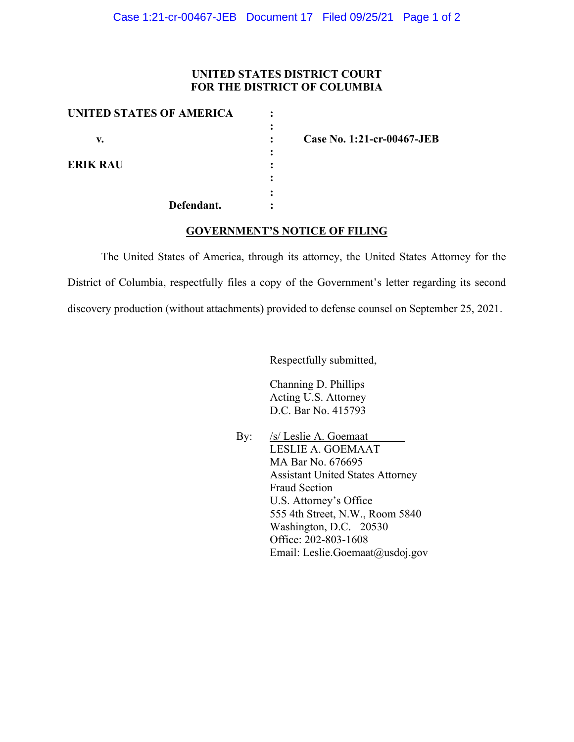## **UNITED STATES DISTRICT COURT FOR THE DISTRICT OF COLUMBIA**

| <b>UNITED STATES OF AMERICA</b> |                      |                            |
|---------------------------------|----------------------|----------------------------|
| v.                              | $\ddot{\phantom{a}}$ | Case No. 1:21-cr-00467-JEB |
|                                 |                      |                            |
| <b>ERIK RAU</b>                 |                      |                            |
|                                 |                      |                            |
|                                 |                      |                            |
| Defendant.                      |                      |                            |

## **GOVERNMENT'S NOTICE OF FILING**

The United States of America, through its attorney, the United States Attorney for the District of Columbia, respectfully files a copy of the Government's letter regarding its second discovery production (without attachments) provided to defense counsel on September 25, 2021.

Respectfully submitted,

Channing D. Phillips Acting U.S. Attorney D.C. Bar No. 415793

By: /s/ Leslie A. Goemaat LESLIE A. GOEMAAT MA Bar No. 676695 Assistant United States Attorney Fraud Section U.S. Attorney's Office 555 4th Street, N.W., Room 5840 Washington, D.C. 20530 Office: 202-803-1608 Email: Leslie.Goemaat@usdoj.gov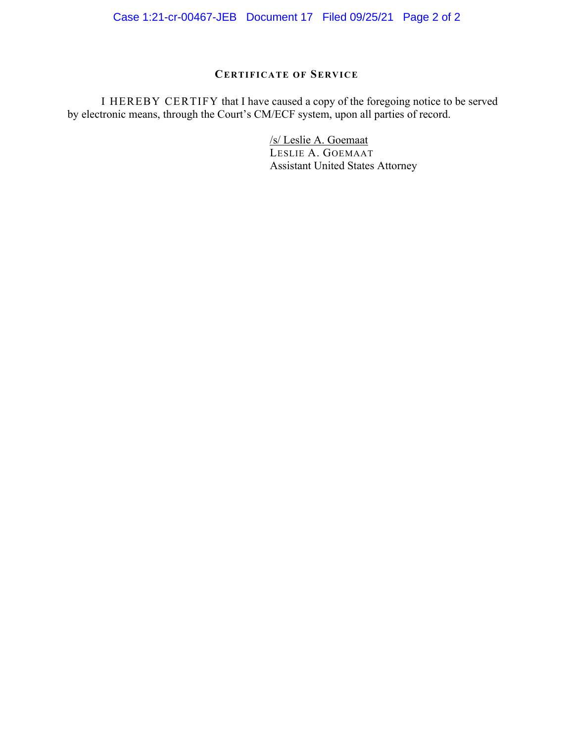Case 1:21-cr-00467-JEB Document 17 Filed 09/25/21 Page 2 of 2

# **CERTIFICATE OF SERVICE**

 I HEREBY CERTIFY that I have caused a copy of the foregoing notice to be served by electronic means, through the Court's CM/ECF system, upon all parties of record.

> /s/ Leslie A. Goemaat LESLIE A. GOEMAAT Assistant United States Attorney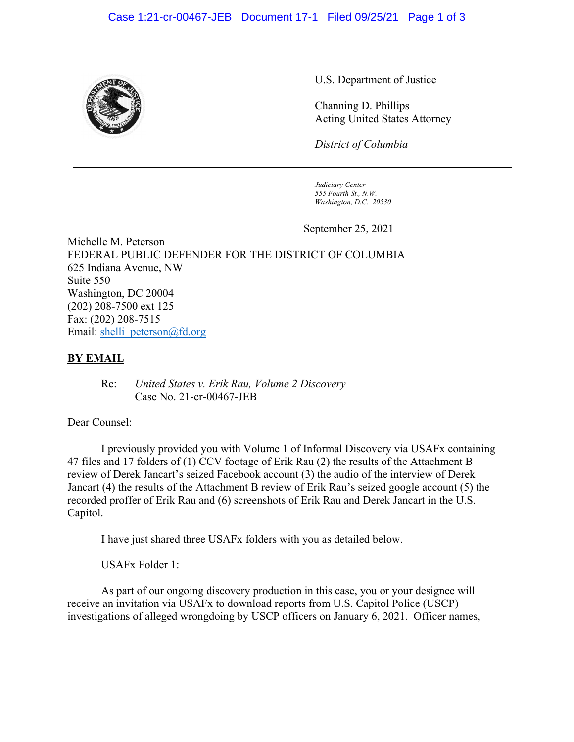

U.S. Department of Justice

Channing D. Phillips Acting United States Attorney

*District of Columbia*

 *Judiciary Center 555 Fourth St., N.W. Washington, D.C. 20530*

September 25, 2021

Michelle M. Peterson FEDERAL PUBLIC DEFENDER FOR THE DISTRICT OF COLUMBIA 625 Indiana Avenue, NW Suite 550 Washington, DC 20004 (202) 208-7500 ext 125 Fax: (202) 208-7515 Email: shelli\_peterson@fd.org

## **BY EMAIL**

 Re: *United States v. Erik Rau, Volume 2 Discovery*  Case No. 21-cr-00467-JEB

## Dear Counsel:

 I previously provided you with Volume 1 of Informal Discovery via USAFx containing 47 files and 17 folders of (1) CCV footage of Erik Rau (2) the results of the Attachment B review of Derek Jancart's seized Facebook account (3) the audio of the interview of Derek Jancart (4) the results of the Attachment B review of Erik Rau's seized google account (5) the recorded proffer of Erik Rau and (6) screenshots of Erik Rau and Derek Jancart in the U.S. Capitol.

I have just shared three USAFx folders with you as detailed below.

## USAFx Folder 1:

 As part of our ongoing discovery production in this case, you or your designee will receive an invitation via USAFx to download reports from U.S. Capitol Police (USCP) investigations of alleged wrongdoing by USCP officers on January 6, 2021. Officer names,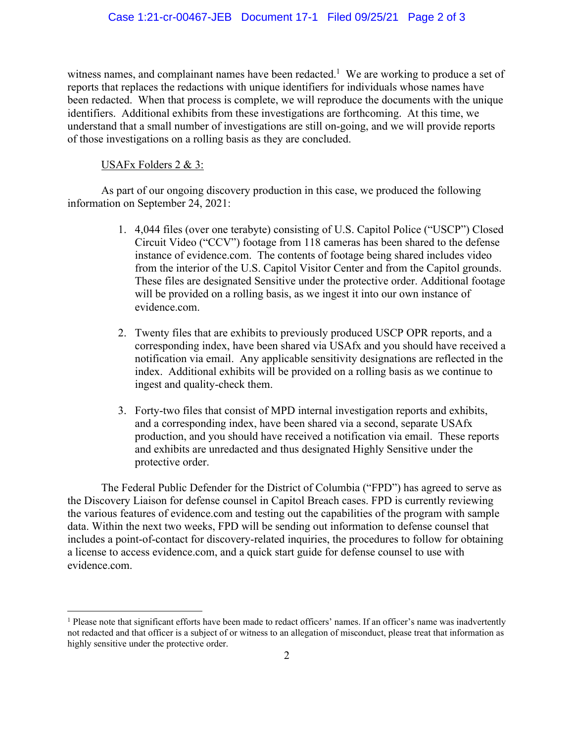witness names, and complainant names have been redacted.<sup>1</sup> We are working to produce a set of reports that replaces the redactions with unique identifiers for individuals whose names have been redacted. When that process is complete, we will reproduce the documents with the unique identifiers. Additional exhibits from these investigations are forthcoming. At this time, we understand that a small number of investigations are still on-going, and we will provide reports of those investigations on a rolling basis as they are concluded.

## USAFx Folders 2 & 3:

As part of our ongoing discovery production in this case, we produced the following information on September 24, 2021:

- 1. 4,044 files (over one terabyte) consisting of U.S. Capitol Police ("USCP") Closed Circuit Video ("CCV") footage from 118 cameras has been shared to the defense instance of evidence.com. The contents of footage being shared includes video from the interior of the U.S. Capitol Visitor Center and from the Capitol grounds. These files are designated Sensitive under the protective order. Additional footage will be provided on a rolling basis, as we ingest it into our own instance of evidence.com.
- 2. Twenty files that are exhibits to previously produced USCP OPR reports, and a corresponding index, have been shared via USAfx and you should have received a notification via email. Any applicable sensitivity designations are reflected in the index. Additional exhibits will be provided on a rolling basis as we continue to ingest and quality-check them.
- 3. Forty-two files that consist of MPD internal investigation reports and exhibits, and a corresponding index, have been shared via a second, separate USAfx production, and you should have received a notification via email. These reports and exhibits are unredacted and thus designated Highly Sensitive under the protective order.

The Federal Public Defender for the District of Columbia ("FPD") has agreed to serve as the Discovery Liaison for defense counsel in Capitol Breach cases. FPD is currently reviewing the various features of evidence.com and testing out the capabilities of the program with sample data. Within the next two weeks, FPD will be sending out information to defense counsel that includes a point-of-contact for discovery-related inquiries, the procedures to follow for obtaining a license to access evidence.com, and a quick start guide for defense counsel to use with evidence.com.

<sup>&</sup>lt;sup>1</sup> Please note that significant efforts have been made to redact officers' names. If an officer's name was inadvertently not redacted and that officer is a subject of or witness to an allegation of misconduct, please treat that information as highly sensitive under the protective order.